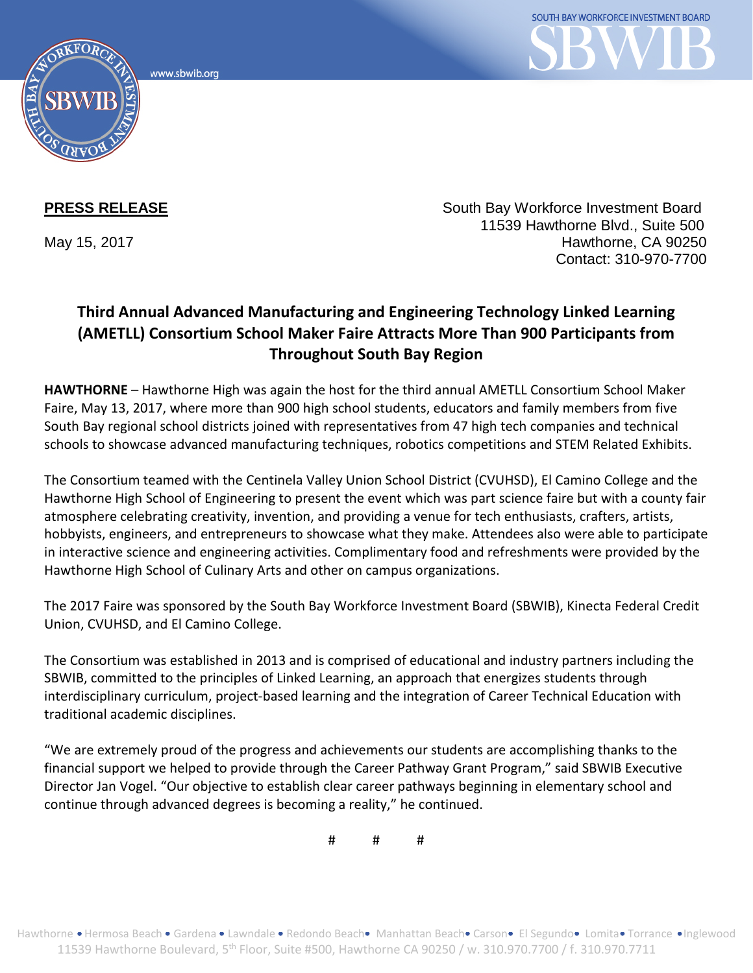www.sbwib.org



**PRESS RELEASE** South Bay Workforce Investment Board 11539 Hawthorne Blvd., Suite 500 May 15, 2017 **Hawthorne, CA 90250** Contact: 310-970-7700

## **Third Annual Advanced Manufacturing and Engineering Technology Linked Learning (AMETLL) Consortium School Maker Faire Attracts More Than 900 Participants from Throughout South Bay Region**

**HAWTHORNE** – Hawthorne High was again the host for the third annual AMETLL Consortium School Maker Faire, May 13, 2017, where more than 900 high school students, educators and family members from five South Bay regional school districts joined with representatives from 47 high tech companies and technical schools to showcase advanced manufacturing techniques, robotics competitions and STEM Related Exhibits.

The Consortium teamed with the Centinela Valley Union School District (CVUHSD), El Camino College and the Hawthorne High School of Engineering to present the event which was part science faire but with a county fair atmosphere celebrating creativity, invention, and providing a venue for tech enthusiasts, crafters, artists, hobbyists, engineers, and entrepreneurs to showcase what they make. Attendees also were able to participate in interactive science and engineering activities. Complimentary food and refreshments were provided by the Hawthorne High School of Culinary Arts and other on campus organizations.

The 2017 Faire was sponsored by the South Bay Workforce Investment Board (SBWIB), Kinecta Federal Credit Union, CVUHSD, and El Camino College.

The Consortium was established in 2013 and is comprised of educational and industry partners including the SBWIB, committed to the principles of Linked Learning, an approach that energizes students through interdisciplinary curriculum, project-based learning and the integration of Career Technical Education with traditional academic disciplines.

"We are extremely proud of the progress and achievements our students are accomplishing thanks to the financial support we helped to provide through the Career Pathway Grant Program," said SBWIB Executive Director Jan Vogel. "Our objective to establish clear career pathways beginning in elementary school and continue through advanced degrees is becoming a reality," he continued.

# # #